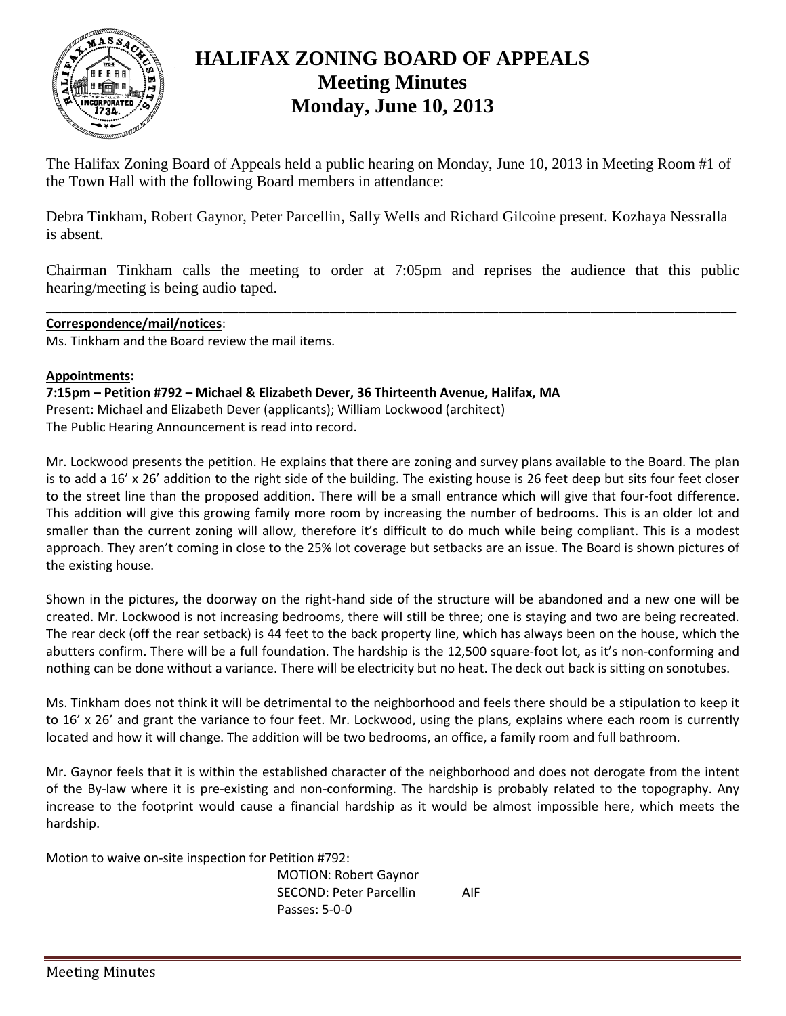

## **HALIFAX ZONING BOARD OF APPEALS Meeting Minutes Monday, June 10, 2013**

The Halifax Zoning Board of Appeals held a public hearing on Monday, June 10, 2013 in Meeting Room #1 of the Town Hall with the following Board members in attendance:

Debra Tinkham, Robert Gaynor, Peter Parcellin, Sally Wells and Richard Gilcoine present. Kozhaya Nessralla is absent.

Chairman Tinkham calls the meeting to order at 7:05pm and reprises the audience that this public hearing/meeting is being audio taped.

\_\_\_\_\_\_\_\_\_\_\_\_\_\_\_\_\_\_\_\_\_\_\_\_\_\_\_\_\_\_\_\_\_\_\_\_\_\_\_\_\_\_\_\_\_\_\_\_\_\_\_\_\_\_\_\_\_\_\_\_\_\_\_\_\_\_\_\_\_\_\_\_\_\_\_\_\_\_\_\_\_\_\_\_\_\_\_\_\_\_

## **Correspondence/mail/notices**:

Ms. Tinkham and the Board review the mail items.

## **Appointments:**

**7:15pm – Petition #792 – Michael & Elizabeth Dever, 36 Thirteenth Avenue, Halifax, MA** Present: Michael and Elizabeth Dever (applicants); William Lockwood (architect) The Public Hearing Announcement is read into record.

Mr. Lockwood presents the petition. He explains that there are zoning and survey plans available to the Board. The plan is to add a 16' x 26' addition to the right side of the building. The existing house is 26 feet deep but sits four feet closer to the street line than the proposed addition. There will be a small entrance which will give that four-foot difference. This addition will give this growing family more room by increasing the number of bedrooms. This is an older lot and smaller than the current zoning will allow, therefore it's difficult to do much while being compliant. This is a modest approach. They aren't coming in close to the 25% lot coverage but setbacks are an issue. The Board is shown pictures of the existing house.

Shown in the pictures, the doorway on the right-hand side of the structure will be abandoned and a new one will be created. Mr. Lockwood is not increasing bedrooms, there will still be three; one is staying and two are being recreated. The rear deck (off the rear setback) is 44 feet to the back property line, which has always been on the house, which the abutters confirm. There will be a full foundation. The hardship is the 12,500 square-foot lot, as it's non-conforming and nothing can be done without a variance. There will be electricity but no heat. The deck out back is sitting on sonotubes.

Ms. Tinkham does not think it will be detrimental to the neighborhood and feels there should be a stipulation to keep it to 16' x 26' and grant the variance to four feet. Mr. Lockwood, using the plans, explains where each room is currently located and how it will change. The addition will be two bedrooms, an office, a family room and full bathroom.

Mr. Gaynor feels that it is within the established character of the neighborhood and does not derogate from the intent of the By-law where it is pre-existing and non-conforming. The hardship is probably related to the topography. Any increase to the footprint would cause a financial hardship as it would be almost impossible here, which meets the hardship.

Motion to waive on-site inspection for Petition #792:

MOTION: Robert Gaynor SECOND: Peter Parcellin AIF Passes: 5-0-0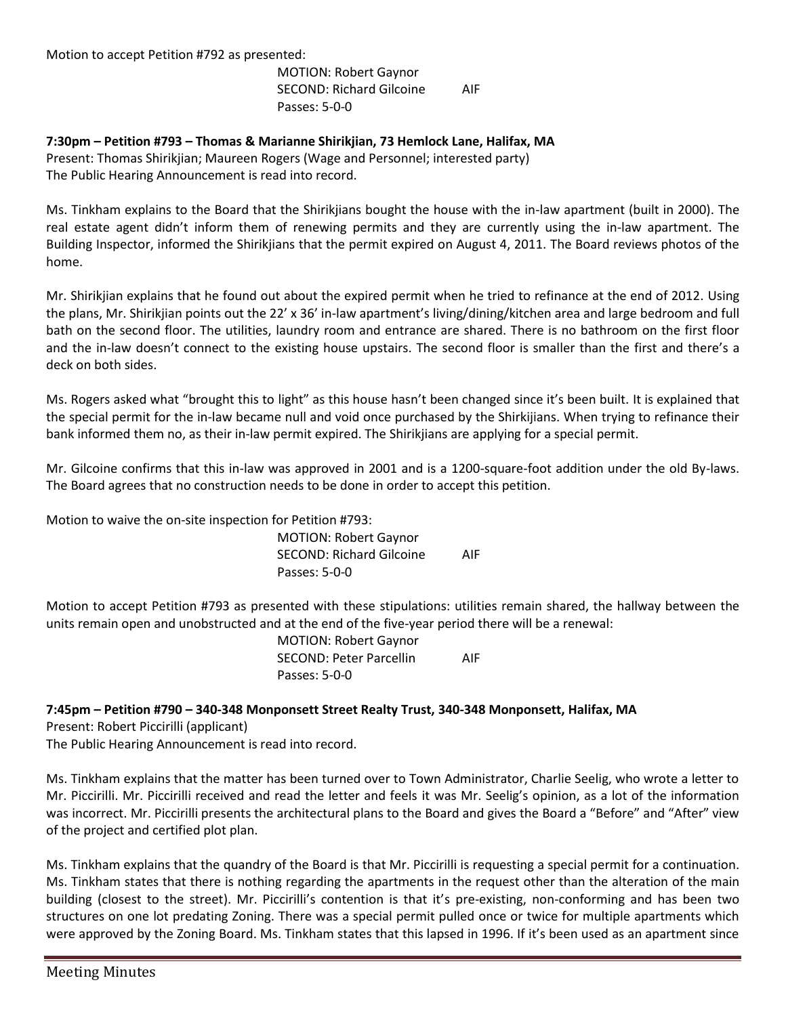Motion to accept Petition #792 as presented:

MOTION: Robert Gaynor SECOND: Richard Gilcoine AIF Passes: 5-0-0

**7:30pm – Petition #793 – Thomas & Marianne Shirikjian, 73 Hemlock Lane, Halifax, MA** Present: Thomas Shirikjian; Maureen Rogers (Wage and Personnel; interested party) The Public Hearing Announcement is read into record.

Ms. Tinkham explains to the Board that the Shirikjians bought the house with the in-law apartment (built in 2000). The real estate agent didn't inform them of renewing permits and they are currently using the in-law apartment. The Building Inspector, informed the Shirikjians that the permit expired on August 4, 2011. The Board reviews photos of the home.

Mr. Shirikjian explains that he found out about the expired permit when he tried to refinance at the end of 2012. Using the plans, Mr. Shirikjian points out the 22' x 36' in-law apartment's living/dining/kitchen area and large bedroom and full bath on the second floor. The utilities, laundry room and entrance are shared. There is no bathroom on the first floor and the in-law doesn't connect to the existing house upstairs. The second floor is smaller than the first and there's a deck on both sides.

Ms. Rogers asked what "brought this to light" as this house hasn't been changed since it's been built. It is explained that the special permit for the in-law became null and void once purchased by the Shirkijians. When trying to refinance their bank informed them no, as their in-law permit expired. The Shirikjians are applying for a special permit.

Mr. Gilcoine confirms that this in-law was approved in 2001 and is a 1200-square-foot addition under the old By-laws. The Board agrees that no construction needs to be done in order to accept this petition.

Motion to waive the on-site inspection for Petition #793:

MOTION: Robert Gaynor SECOND: Richard Gilcoine AIF Passes: 5-0-0

Motion to accept Petition #793 as presented with these stipulations: utilities remain shared, the hallway between the units remain open and unobstructed and at the end of the five-year period there will be a renewal:

> MOTION: Robert Gaynor SECOND: Peter Parcellin AIF Passes: 5-0-0

## **7:45pm – Petition #790 – 340-348 Monponsett Street Realty Trust, 340-348 Monponsett, Halifax, MA**

Present: Robert Piccirilli (applicant)

The Public Hearing Announcement is read into record.

Ms. Tinkham explains that the matter has been turned over to Town Administrator, Charlie Seelig, who wrote a letter to Mr. Piccirilli. Mr. Piccirilli received and read the letter and feels it was Mr. Seelig's opinion, as a lot of the information was incorrect. Mr. Piccirilli presents the architectural plans to the Board and gives the Board a "Before" and "After" view of the project and certified plot plan.

Ms. Tinkham explains that the quandry of the Board is that Mr. Piccirilli is requesting a special permit for a continuation. Ms. Tinkham states that there is nothing regarding the apartments in the request other than the alteration of the main building (closest to the street). Mr. Piccirilli's contention is that it's pre-existing, non-conforming and has been two structures on one lot predating Zoning. There was a special permit pulled once or twice for multiple apartments which were approved by the Zoning Board. Ms. Tinkham states that this lapsed in 1996. If it's been used as an apartment since